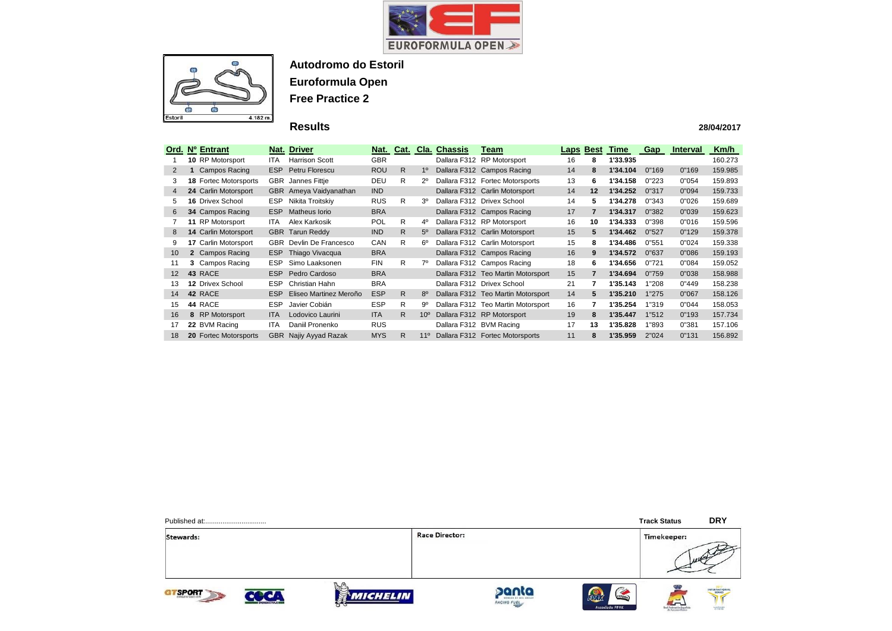



## **Results**

|                   |   | Ord. Nº Entrant              |            | <b>Nat. Driver</b>     | Nat.       | Cat. |                 | <b>Cla. Chassis</b> | Team                               | Laps | <b>Best</b> | Time     | <b>Gap</b> | <b>Interval</b> | Km/h    |
|-------------------|---|------------------------------|------------|------------------------|------------|------|-----------------|---------------------|------------------------------------|------|-------------|----------|------------|-----------------|---------|
|                   |   | 10 RP Motorsport             | ITA.       | <b>Harrison Scott</b>  | <b>GBR</b> |      |                 |                     | Dallara F312 RP Motorsport         | 16   | 8           | 1'33.935 |            |                 | 160.273 |
| 2                 |   | <b>Campos Racing</b>         | ESP        | Petru Florescu         | <b>ROU</b> | R.   | $1^{\circ}$     |                     | Dallara F312 Campos Racing         | 14   | 8           | 1'34.104 | 0"169      | 0"169           | 159.985 |
| 3                 |   | <b>18 Fortec Motorsports</b> | <b>GBR</b> | Jannes Fittje          | <b>DEU</b> | R.   | $2^{\circ}$     |                     | Dallara F312 Fortec Motorsports    | 13   | 6           | 1'34.158 | 0"223      | 0"054           | 159.893 |
| 4                 |   | 24 Carlin Motorsport         |            | GBR Ameya Vaidyanathan | IND        |      |                 |                     | Dallara F312 Carlin Motorsport     | 14   | 12          | 1'34.252 | 0"317      | 0"094           | 159.733 |
| 5                 |   | <b>16 Drivex School</b>      | <b>ESP</b> | Nikita Troitskiy       | <b>RUS</b> | R.   | 3 <sup>o</sup>  |                     | Dallara F312 Drivex School         | 14   | 5           | 1'34.278 | 0"343      | 0"026           | 159.689 |
| 6                 |   | 34 Campos Racing             | <b>ESP</b> | Matheus Iorio          | <b>BRA</b> |      |                 |                     | Dallara F312 Campos Racing         | 17   | 7           | 1'34.317 | 0"382      | 0"039           | 159.623 |
|                   |   | 11 RP Motorsport             | <b>ITA</b> | Alex Karkosik          | <b>POL</b> | R    | $4^{\circ}$     |                     | Dallara F312 RP Motorsport         | 16   | 10          | 1'34.333 | 0"398      | 0"016           | 159.596 |
| 8                 |   | 14 Carlin Motorsport         |            | <b>GBR</b> Tarun Reddy | IND        | R.   | $5^\circ$       |                     | Dallara F312 Carlin Motorsport     | 15   | 5           | 1'34.462 | 0"527      | 0"129           | 159.378 |
|                   |   | 17 Carlin Motorsport         | <b>GBR</b> | Devlin De Francesco    | CAN        | R.   | $6^{\circ}$     |                     | Dallara F312 Carlin Motorsport     | 15   | 8           | 1'34.486 | 0"551      | 0"024           | 159.338 |
| 10                |   | 2 Campos Racing              | <b>ESP</b> | Thiago Vivacqua        | <b>BRA</b> |      |                 |                     | Dallara F312 Campos Racing         | 16   | 9           | 1'34.572 | 0"637      | 0"086           | 159.193 |
| 11                |   | 3 Campos Racing              | <b>ESP</b> | Simo Laaksonen         | <b>FIN</b> | R.   | $7^\circ$       |                     | Dallara F312 Campos Racing         | 18   | 6           | 1'34.656 | 0"721      | 0"084           | 159.052 |
| $12 \overline{ }$ |   | 43 RACE                      | ESP.       | Pedro Cardoso          | <b>BRA</b> |      |                 |                     | Dallara F312 Teo Martin Motorsport | 15   | 7           | 1'34.694 | 0"759      | 0"038           | 158.988 |
| 13                |   | 12 Drivex School             | <b>ESP</b> | Christian Hahn         | <b>BRA</b> |      |                 |                     | Dallara F312 Drivex School         | 21   | 7           | 1'35.143 | "208       | 0"449           | 158.238 |
| 14                |   | 42 RACE                      | <b>ESP</b> | Eliseo Martinez Meroño | <b>ESP</b> | R.   | $8^{\circ}$     |                     | Dallara F312 Teo Martin Motorsport | 14   | 5           | 1'35.210 | 1"275      | 0"067           | 158.126 |
| 15                |   | 44 RACE                      | <b>ESP</b> | Javier Cobián          | <b>ESP</b> | R.   | 9º              |                     | Dallara F312 Teo Martin Motorsport | 16   | 7           | 1'35.254 | 1"319      | 0"044           | 158.053 |
| 16                | 8 | <b>RP Motorsport</b>         | <b>ITA</b> | Lodovico Laurini       | <b>ITA</b> | R.   | 10 <sup>o</sup> |                     | Dallara F312 RP Motorsport         | 19   | 8           | 1'35.447 | 1"512      | 0"193           | 157.734 |
| 17                |   | 22 BVM Racing                | <b>ITA</b> | Daniil Pronenko        | <b>RUS</b> |      |                 |                     | Dallara F312 BVM Racing            | 17   | 13          | 1'35.828 | "893       | 0"381           | 157.106 |
| 18                |   | 20 Fortec Motorsports        | <b>GBR</b> | Najiy Ayyad Razak      | <b>MYS</b> | R    | $11^{\circ}$    |                     | Dallara F312 Fortec Motorsports    | 11   | 8           | 1'35.959 | 2"024      | 0"131           | 156.892 |

Stewards:

**Race Director:** 











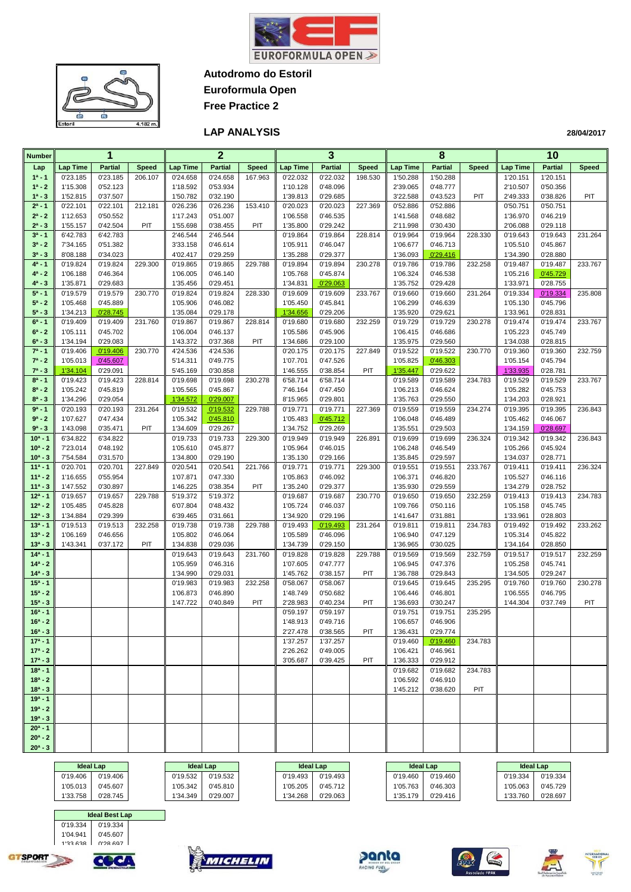

**Autodromo do Estoril**

**Euroformula Open Free Practice 2**



#### **LAP ANALYSIS**

| <b>Number</b>            |                      | 1                    |              |                      | $\mathbf{2}$         |              |                      | 3                    |              |                      | 8                    |              |                      | 10                   |              |
|--------------------------|----------------------|----------------------|--------------|----------------------|----------------------|--------------|----------------------|----------------------|--------------|----------------------|----------------------|--------------|----------------------|----------------------|--------------|
| Lap                      | <b>Lap Time</b>      | <b>Partial</b>       | <b>Speed</b> | <b>Lap Time</b>      | <b>Partial</b>       | <b>Speed</b> | <b>Lap Time</b>      | <b>Partial</b>       | <b>Speed</b> | <b>Lap Time</b>      | <b>Partial</b>       | <b>Speed</b> | <b>Lap Time</b>      | <b>Partial</b>       | <b>Speed</b> |
| $1a - 1$                 | 0'23.185             | 0'23.185             | 206.107      | 0'24.658             | 0'24.658             | 167.963      | 0'22.032             | 0'22.032             | 198.530      | 1'50.288             | 1'50.288             |              | 1'20.151             | 1'20.151             |              |
| $1^a - 2$                | 1'15.308             | 0'52.123             |              | 1'18.592             | 0'53.934             |              | 1'10.128             | 0'48.096             |              | 2'39.065             | 0'48.777             |              | 2'10.507             | 0'50.356             |              |
| $1^a - 3$                | 1'52.815             | 0'37.507             |              | 1'50.782             | 0'32.190             |              | 1'39.813             | 0'29.685             |              | 3'22.588             | 0'43.523             | PIT          | 2'49.333             | 0'38.826             | PIT          |
| $2^a - 1$                | 0'22.101             | 0'22.101             | 212.181      | 0'26.236             | 0'26.236             | 153.410      | 0'20.023             | 0'20.023             | 227.369      | 0'52.886             | 0'52.886             |              | 0'50.751             | 0'50.751             |              |
| $2^a - 2$                | 1'12.653             | 0'50.552             |              | 1'17.243             | 0'51.007             |              | 1'06.558             | 0'46.535             |              | 1'41.568             | 0'48.682             |              | 1'36.970             | 0'46.219             |              |
| $2^a - 3$                | 1'55.157             | 0'42.504             | PIT          | 1'55.698             | 0'38.455             | PIT          | 1'35.800             | 0'29.242             |              | 2'11.998             | 0'30.430             |              | 2'06.088             | 0'29.118             |              |
| $3^a - 1$                | 6'42.783             | 6'42.783             |              | 2'46.544             | 2'46.544             |              | 0'19.864             | 0'19.864             | 228.814      | 0'19.964             | 0'19.964             | 228.330      | 0'19.643             | 0'19.643             | 231.264      |
| $3^a - 2$                | 7'34.165             | 0'51.382             |              | 3'33.158             | 0'46.614             |              | 1'05.911             | 0'46.047             |              | 1'06.677             | 0'46.713             |              | 1'05.510             | 0'45.867             |              |
| $3^{a} - 3$<br>$4^a - 1$ | 8'08.188<br>0'19.824 | 0'34.023             | 229.300      | 4'02.417             | 0'29.259             | 229.788      | 1'35.288             | 0'29.377             |              | 1'36.093             | 0'29.416             | 232.258      | 1'34.390<br>0'19.487 | 0'28.880             | 233.767      |
| $4^a - 2$                | 1'06.188             | 0'19.824<br>0'46.364 |              | 0'19.865<br>1'06.005 | 0'19.865<br>0'46.140 |              | 0'19.894<br>1'05.768 | 0'19.894<br>0'45.874 | 230.278      | 0'19.786<br>1'06.324 | 0'19.786<br>0'46.538 |              | 1'05.216             | 0'19.487<br>0'45.729 |              |
| $4^a - 3$                | 1'35.871             | 0'29.683             |              | 1'35.456             | 0'29.451             |              | 1'34.831             | 0'29.063             |              | 1'35.752             | 0'29.428             |              | 1'33.971             | 0'28.755             |              |
| $5^a - 1$                | 0'19.579             | 0'19.579             | 230.770      | 0'19.824             | 0'19.824             | 228.330      | 0'19.609             | 0'19.609             | 233.767      | 0'19.660             | 0'19.660             | 231.264      | 0'19.334             | 0'19.334             | 235.808      |
| $5^a - 2$                | 1'05.468             | 0'45.889             |              | 1'05.906             | 0'46.082             |              | 1'05.450             | 0'45.841             |              | 1'06.299             | 0'46.639             |              | 1'05.130             | 0'45.796             |              |
| $5^a - 3$                | 1'34.213             | 0'28.745             |              | 1'35.084             | 0'29.178             |              | 1'34.656             | 0'29.206             |              | 1'35.920             | 0'29.621             |              | 1'33.961             | 0'28.831             |              |
| $6^a - 1$                | 0'19.409             | 0'19.409             | 231.760      | 0'19.867             | 0'19.867             | 228.814      | 0'19.680             | 0'19.680             | 232.259      | 0'19.729             | 0'19.729             | 230.278      | 0'19.474             | 0'19.474             | 233.767      |
| $6^a - 2$                | 1'05.111             | 0'45.702             |              | 1'06.004             | 0'46.137             |              | 1'05.586             | 0'45.906             |              | 1'06.415             | 0'46.686             |              | 1'05.223             | 0'45.749             |              |
| $6^a - 3$                | 1'34.194             | 0'29.083             |              | 1'43.372             | 0'37.368             | PIT          | 1'34.686             | 0'29.100             |              | 1'35.975             | 0'29.560             |              | 1'34.038             | 0'28.815             |              |
| $7^a - 1$                | 0'19.406             | 0'19.406             | 230.770      | 4'24.536             | 4'24.536             |              | 0'20.175             | 0'20.175             | 227.849      | 0'19.522             | 0'19.522             | 230.770      | 0'19.360             | 0'19.360             | 232.759      |
| $7^a - 2$                | 1'05.013             | 0'45.607             |              | 5'14.311             | 0'49.775             |              | 1'07.701             | 0'47.526             |              | 1'05.825             | 0'46.303             |              | 1'05.154             | 0'45.794             |              |
| $7^a - 3$                | 1'34.104             | 0'29.091             |              | 5'45.169             | 0'30.858             |              | 1'46.555             | 0'38.854             | PIT          | 1'35.447             | 0'29.622             |              | 1'33.935             | 0'28.781             |              |
| $8^a - 1$                | 0'19.423             | 0'19.423             | 228.814      | 0'19.698             | 0'19.698             | 230.278      | 6'58.714             | 6'58.714             |              | 0'19.589             | 0'19.589             | 234.783      | 0'19.529             | 0'19.529             | 233.767      |
| $8^a - 2$                | 1'05.242             | 0'45.819             |              | 1'05.565             | 0'45.867             |              | 7'46.164             | 0'47.450             |              | 1'06.213             | 0'46.624             |              | 1'05.282             | 0'45.753             |              |
| $8^a - 3$                | 1'34.296             | 0'29.054             |              | 1'34.572             | 0'29.007             |              | 8'15.965             | 0'29.801             |              | 1'35.763             | 0'29.550             |              | 1'34.203             | 0'28.921             |              |
| $9a - 1$<br>$9a - 2$     | 0'20.193             | 0'20.193             | 231.264      | 0'19.532             | 0'19.532             | 229.788      | 0'19.771             | 0'19.771             | 227.369      | 0'19.559             | 0'19.559             | 234.274      | 0'19.395             | 0'19.395<br>0'46.067 | 236.843      |
| $9a - 3$                 | 1'07.627<br>1'43.098 | 0'47.434<br>0'35.471 | PIT          | 1'05.342<br>1'34.609 | 0'45.810<br>0'29.267 |              | 1'05.483<br>1'34.752 | 0'45.712<br>0'29.269 |              | 1'06.048<br>1'35.551 | 0'46.489<br>0'29.503 |              | 1'05.462<br>1'34.159 | 0'28.697             |              |
| $10a - 1$                | 6'34.822             | 6'34.822             |              | 0'19.733             | 0'19.733             | 229.300      | 0'19.949             | 0'19.949             | 226.891      | 0'19.699             | 0'19.699             | 236.324      | 0'19.342             | 0'19.342             | 236.843      |
| $10a - 2$                | 7'23.014             | 0'48.192             |              | 1'05.610             | 0'45.877             |              | 1'05.964             | 0'46.015             |              | 1'06.248             | 0'46.549             |              | 1'05.266             | 0'45.924             |              |
| $10^a - 3$               | 7'54.584             | 0'31.570             |              | 1'34.800             | 0'29.190             |              | 1'35.130             | 0'29.166             |              | 1'35.845             | 0'29.597             |              | 1'34.037             | 0'28.771             |              |
| $11a - 1$                | 0'20.701             | 0'20.701             | 227.849      | 0'20.541             | 0'20.541             | 221.766      | 0'19.771             | 0'19.771             | 229.300      | 0'19.551             | 0'19.551             | 233.767      | 0'19.411             | 0'19.411             | 236.324      |
| $11a - 2$                | 1'16.655             | 0'55.954             |              | 1'07.871             | 0'47.330             |              | 1'05.863             | 0'46.092             |              | 1'06.371             | 0'46.820             |              | 1'05.527             | 0'46.116             |              |
| $11a - 3$                | 1'47.552             | 0'30.897             |              | 1'46.225             | 0'38.354             | PIT          | 1'35.240             | 0'29.377             |              | 1'35.930             | 0'29.559             |              | 1'34.279             | 0'28.752             |              |
| $12a - 1$                | 0'19.657             | 0'19.657             | 229.788      | 5'19.372             | 5'19.372             |              | 0'19.687             | 0'19.687             | 230.770      | 0'19.650             | 0'19.650             | 232.259      | 0'19.413             | 0'19.413             | 234.783      |
| $12^a - 2$               | 1'05.485             | 0'45.828             |              | 6'07.804             | 0'48.432             |              | 1'05.724             | 0'46.037             |              | 1'09.766             | 0'50.116             |              | 1'05.158             | 0'45.745             |              |
| $12^a - 3$               | 1'34.884             | 0'29.399             |              | 6'39.465             | 0'31.661             |              | 1'34.920             | 0'29.196             |              | 1'41.647             | 0'31.881             |              | 1'33.961             | 0'28.803             |              |
| $13a - 1$                | 0'19.513             | 0'19.513             | 232.258      | 0'19.738             | 0'19.738             | 229.788      | 0'19.493             | 0'19.493             | 231.264      | 0'19.811             | 0'19.811             | 234.783      | 0'19.492             | 0'19.492             | 233.262      |
| $13a - 2$                | 1'06.169             | 0'46.656             |              | 1'05.802             | 0'46.064             |              | 1'05.589             | 0'46.096             |              | 1'06.940             | 0'47.129             |              | 1'05.314             | 0'45.822             |              |
| $13a - 3$<br>$14a - 1$   | 1'43.341             | 0'37.172             | PIT          | 1'34.838<br>0'19.643 | 0'29.036<br>0'19.643 | 231.760      | 1'34.739<br>0'19.828 | 0'29.150<br>0'19.828 | 229.788      | 1'36.965<br>0'19.569 | 0'30.025<br>0'19.569 | 232.759      | 1'34.164<br>0'19.517 | 0'28.850<br>0'19.517 | 232.259      |
| $14^a - 2$               |                      |                      |              | 1'05.959             | 0'46.316             |              | 1'07.605             | 0'47.777             |              | 1'06.945             | 0'47.376             |              | 1'05.258             | 0'45.741             |              |
| $14^a - 3$               |                      |                      |              | 1'34.990             | 0'29.031             |              | 1'45.762             | 0'38.157             | PIT          | 1'36.788             | 0'29.843             |              | 1'34.505             | 0'29.247             |              |
| $15a - 1$                |                      |                      |              | 0'19.983             | 0'19.983             | 232.258      | 0'58.067             | 0'58.067             |              | 0'19.645             | 0'19.645             | 235.295      | 0'19.760             | 0'19.760             | 230.278      |
| $15a - 2$                |                      |                      |              | 1'06.873             | 0'46.890             |              | 1'48.749             | 0'50.682             |              | 1'06.446             | 0'46.801             |              | 1'06.555             | 0'46.795             |              |
| $15a - 3$                |                      |                      |              | 1'47.722             | 0'40.849             | PIT          | 2'28.983             | 0'40.234             | PIT          | 1'36.693             | 0'30.247             |              | 1'44.304             | 0'37.749             | PIT          |
| $16a - 1$                |                      |                      |              |                      |                      |              | 0'59.197             | 0'59.197             |              | 0'19.751             | 0'19.751             | 235.295      |                      |                      |              |
| $16a - 2$                |                      |                      |              |                      |                      |              | 1'48.913             | 0'49.716             |              | 1'06.657             | 0'46.906             |              |                      |                      |              |
| $16^a - 3$               |                      |                      |              |                      |                      |              | 2'27.478             | 0'38.565             | PIT          | 1'36.431             | 0'29.774             |              |                      |                      |              |
| $17a - 1$                |                      |                      |              |                      |                      |              | 1'37.257             | 1'37.257             |              | 0'19.460             | 0'19.460             | 234.783      |                      |                      |              |
| $17a - 2$                |                      |                      |              |                      |                      |              | 2'26.262             | 0'49.005             |              | 1'06.421             | 0'46.961             |              |                      |                      |              |
| $17^a - 3$               |                      |                      |              |                      |                      |              | 3'05.687             | 0'39.425             | PIT          | 1'36.333             | 0'29.912             |              |                      |                      |              |
| $18a - 1$                |                      |                      |              |                      |                      |              |                      |                      |              | 0'19.682             | 0'19.682             | 234.783      |                      |                      |              |
| $18a - 2$                |                      |                      |              |                      |                      |              |                      |                      |              | 1'06.592             | 0'46.910             |              |                      |                      |              |
| $18a - 3$<br>$19a - 1$   |                      |                      |              |                      |                      |              |                      |                      |              | 1'45.212             | 0'38.620             | PIT          |                      |                      |              |
| $19a - 2$                |                      |                      |              |                      |                      |              |                      |                      |              |                      |                      |              |                      |                      |              |
| $19a - 3$                |                      |                      |              |                      |                      |              |                      |                      |              |                      |                      |              |                      |                      |              |
| $20^a - 1$               |                      |                      |              |                      |                      |              |                      |                      |              |                      |                      |              |                      |                      |              |
| $20^a - 2$               |                      |                      |              |                      |                      |              |                      |                      |              |                      |                      |              |                      |                      |              |
| $20^a - 3$               |                      |                      |              |                      |                      |              |                      |                      |              |                      |                      |              |                      |                      |              |

|          | <b>Ideal Lap</b> |
|----------|------------------|
| 0'19.406 | 0'19.406         |
| 1'05.013 | 0'45.607         |
| 1'33.758 | 0'28.745         |
|          |                  |



|          | <b>Ideal Lap</b> |          | <b>Ideal Lap</b> | <b>Ideal Lap</b> |          |          | <b>Ideal Lap</b> | <b>Ideal Lap</b> |          |
|----------|------------------|----------|------------------|------------------|----------|----------|------------------|------------------|----------|
| 0'19.406 | 0'19.406         | 0'19.532 | 0'19.532         | 0'19.493         | 0'19.493 | 0'19.460 | 0'19.460         | 0'19.334         | 0'19.334 |
| 1'05.013 | 0'45.607         | 1'05.342 | 0'45.810         | 1'05.205         | 0'45.712 | 1'05.763 | 0'46.303         | 1'05.063         | 0'45.729 |
| 1'33.758 | 0'28.745         | 1'34.349 | 0'29.007         | 1'34.268         | 0'29.063 | 1'35.179 | 0'29.416         | 1'33.760         | 0'28.697 |













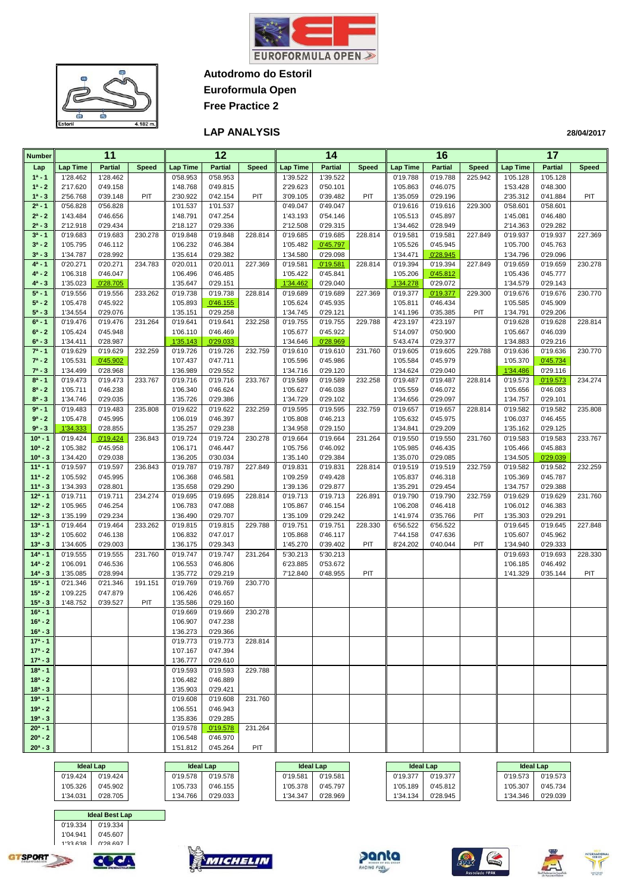

**Autodromo do Estoril**

**Euroformula Open Free Practice 2**



#### **LAP ANALYSIS**

| <b>Number</b>            |                      | 11                   |              | 12                   |                      |              | 14                   |                      |              | 16                   |                      |              | 17                   |                      |              |
|--------------------------|----------------------|----------------------|--------------|----------------------|----------------------|--------------|----------------------|----------------------|--------------|----------------------|----------------------|--------------|----------------------|----------------------|--------------|
| Lap                      | <b>Lap Time</b>      | <b>Partial</b>       | <b>Speed</b> | <b>Lap Time</b>      | <b>Partial</b>       | <b>Speed</b> | <b>Lap Time</b>      | <b>Partial</b>       | <b>Speed</b> | <b>Lap Time</b>      | <b>Partial</b>       | <b>Speed</b> | <b>Lap Time</b>      | <b>Partial</b>       | <b>Speed</b> |
| $1a - 1$                 | 1'28.462             | 1'28.462             |              | 0'58.953             | 0'58.953             |              | 1'39.522             | 1'39.522             |              | 0'19.788             | 0'19.788             | 225.942      | 1'05.128             | 1'05.128             |              |
| $1^a - 2$                | 2'17.620             | 0'49.158             |              | 1'48.768             | 0'49.815             |              | 2'29.623             | 0'50.101             |              | 1'05.863             | 0'46.075             |              | 1'53.428             | 0'48.300             |              |
| $1^a - 3$                | 2'56.768             | 0'39.148             | PIT          | 2'30.922             | 0'42.154             | PIT          | 3'09.105             | 0'39.482             | PIT          | 1'35.059             | 0'29.196             |              | 2'35.312             | 0'41.884             | PIT          |
| $2^a - 1$                | 0'56.828             | 0'56.828             |              | 1'01.537             | 1'01.537             |              | 0'49.047             | 0'49.047             |              | 0'19.616             | 0'19.616             | 229.300      | 0'58.601             | 0'58.601             |              |
| $2^a - 2$                | 1'43.484             | 0'46.656             |              | 1'48.791             | 0'47.254             |              | 1'43.193             | 0'54.146             |              | 1'05.513             | 0'45.897             |              | 1'45.081             | 0'46.480             |              |
| $2^a - 3$                | 2'12.918             | 0'29.434             |              | 2'18.127             | 0'29.336             |              | 2'12.508             | 0'29.315             |              | 1'34.462             | 0'28.949             |              | 2'14.363             | 0'29.282             |              |
| $3a - 1$                 | 0'19.683             | 0'19.683             | 230.278      | 0'19.848             | 0'19.848             | 228.814      | 0'19.685             | 0'19.685             | 228.814      | 0'19.581             | 0'19.581             | 227.849      | 0'19.937             | 0'19.937             | 227.369      |
| $3^a - 2$                | 1'05.795             | 0'46.112             |              | 1'06.232             | 0'46.384             |              | 1'05.482             | 0'45.797             |              | 1'05.526             | 0'45.945             |              | 1'05.700             | 0'45.763             |              |
| $3^{a} - 3$              | 1'34.787             | 0'28.992             |              | 1'35.614             | 0'29.382             |              | 1'34.580             | 0'29.098             |              | 1'34.471             | 0'28.945             |              | 1'34.796             | 0'29.096             |              |
| $4^a - 1$                | 0'20.271             | 0'20.271             | 234.783      | 0'20.011             | 0'20.011             | 227.369      | 0'19.581             | 0'19.581             | 228.814      | 0'19.394             | 0'19.394             | 227.849      | 0'19.659             | 0'19.659             | 230.278      |
| $4^a - 2$                | 1'06.318             | 0'46.047             |              | 1'06.496             | 0'46.485             |              | 1'05.422             | 0'45.841             |              | 1'05.206             | 0'45.812             |              | 1'05.436             | 0'45.777             |              |
| $4^a - 3$                | 1'35.023             | 0'28.705             |              | 1'35.647             | 0'29.151             |              | 1'34.462             | 0'29.040             |              | 1'34.278             | 0'29.072             |              | 1'34.579             | 0'29.143             |              |
| $5a - 1$                 | 0'19.556             | 0'19.556             | 233.262      | 0'19.738             | 0'19.738             | 228.814      | 0'19.689             | 0'19.689             | 227.369      | 0'19.377             | 0'19.377             | 229.300      | 0'19.676             | 0'19.676             | 230.770      |
| $5^a - 2$<br>$5^a - 3$   | 1'05.478             | 0'45.922             |              | 1'05.893             | 0'46.155             |              | 1'05.624             | 0'45.935             |              | 1'05.811             | 0'46.434             |              | 1'05.585             | 0'45.909             |              |
| $6^a - 1$                | 1'34.554<br>0'19.476 | 0'29.076<br>0'19.476 | 231.264      | 1'35.151<br>0'19.641 | 0'29.258<br>0'19.641 | 232.258      | 1'34.745<br>0'19.755 | 0'29.121<br>0'19.755 | 229.788      | 1'41.196<br>4'23.197 | 0'35.385<br>4'23.197 | PIT          | 1'34.791<br>0'19.628 | 0'29.206<br>0'19.628 | 228.814      |
| $6^a - 2$                | 1'05.424             | 0'45.948             |              | 1'06.110             | 0'46.469             |              | 1'05.677             | 0'45.922             |              | 5'14.097             | 0'50.900             |              | 1'05.667             | 0'46.039             |              |
| $6^a - 3$                | 1'34.411             | 0'28.987             |              | 1'35.143             | 0'29.033             |              | 1'34.646             | 0'28.969             |              | 5'43.474             | 0'29.377             |              | 1'34.883             | 0'29.216             |              |
| $7^a - 1$                | 0'19.629             | 0'19.629             | 232.259      | 0'19.726             | 0'19.726             | 232.759      | 0'19.610             | 0'19.610             | 231.760      | 0'19.605             | 0'19.605             | 229.788      | 0'19.636             | 0'19.636             | 230.770      |
| $7^a - 2$                | 1'05.531             | 0'45.902             |              | 1'07.437             | 0'47.711             |              | 1'05.596             | 0'45.986             |              | 1'05.584             | 0'45.979             |              | 1'05.370             | 0'45.734             |              |
| $7^a - 3$                | 1'34.499             | 0'28.968             |              | 1'36.989             | 0'29.552             |              | 1'34.716             | 0'29.120             |              | 1'34.624             | 0'29.040             |              | 1'34.486             | 0'29.116             |              |
| $8^a - 1$                | 0'19.473             | 0'19.473             | 233.767      | 0'19.716             | 0'19.716             | 233.767      | 0'19.589             | 0'19.589             | 232.258      | 0'19.487             | 0'19.487             | 228.814      | 0'19.573             | 0'19.573             | 234.274      |
| $8^a - 2$                | 1'05.711             | 0'46.238             |              | 1'06.340             | 0'46.624             |              | 1'05.627             | 0'46.038             |              | 1'05.559             | 0'46.072             |              | 1'05.656             | 0'46.083             |              |
| $8^a - 3$                | 1'34.746             | 0'29.035             |              | 1'35.726             | 0'29.386             |              | 1'34.729             | 0'29.102             |              | 1'34.656             | 0'29.097             |              | 1'34.757             | 0'29.101             |              |
| $9a - 1$                 | 0'19.483             | 0'19.483             | 235.808      | 0'19.622             | 0'19.622             | 232.259      | 0'19.595             | 0'19.595             | 232.759      | 0'19.657             | 0'19.657             | 228.814      | 0'19.582             | 0'19.582             | 235.808      |
| $9^a - 2$                | 1'05.478             | 0'45.995             |              | 1'06.019             | 0'46.397             |              | 1'05.808             | 0'46.213             |              | 1'05.632             | 0'45.975             |              | 1'06.037             | 0'46.455             |              |
| $9^a - 3$                | 1'34.333             | 0'28.855             |              | 1'35.257             | 0'29.238             |              | 1'34.958             | 0'29.150             |              | 1'34.841             | 0'29.209             |              | 1'35.162             | 0'29.125             |              |
| $10a - 1$                | 0'19.424             | 0'19.424             | 236.843      | 0'19.724             | 0'19.724             | 230.278      | 0'19.664             | 0'19.664             | 231.264      | 0'19.550             | 0'19.550             | 231.760      | 0'19.583             | 0'19.583             | 233.767      |
| $10a - 2$                | 1'05.382             | 0'45.958             |              | 1'06.171             | 0'46.447             |              | 1'05.756             | 0'46.092             |              | 1'05.985             | 0'46.435             |              | 1'05.466             | 0'45.883             |              |
| $10^a - 3$               | 1'34.420             | 0'29.038             |              | 1'36.205             | 0'30.034             |              | 1'35.140             | 0'29.384             |              | 1'35.070             | 0'29.085             |              | 1'34.505             | 0'29.039             |              |
| $11a - 1$                | 0'19.597             | 0'19.597             | 236.843      | 0'19.787             | 0'19.787             | 227.849      | 0'19.831             | 0'19.831             | 228.814      | 0'19.519             | 0'19.519             | 232.759      | 0'19.582             | 0'19.582             | 232.259      |
| $11a - 2$<br>$11a - 3$   | 1'05.592<br>1'34.393 | 0'45.995<br>0'28.801 |              | 1'06.368<br>1'35.658 | 0'46.581<br>0'29.290 |              | 1'09.259<br>1'39.136 | 0'49.428<br>0'29.877 |              | 1'05.837<br>1'35.291 | 0'46.318<br>0'29.454 |              | 1'05.369<br>1'34.757 | 0'45.787<br>0'29.388 |              |
| $12a - 1$                | 0'19.711             | 0'19.711             | 234.274      | 0'19.695             | 0'19.695             | 228.814      | 0'19.713             | 0'19.713             | 226.891      | 0'19.790             | 0'19.790             | 232.759      | 0'19.629             | 0'19.629             | 231.760      |
| $12^a - 2$               | 1'05.965             | 0'46.254             |              | 1'06.783             | 0'47.088             |              | 1'05.867             | 0'46.154             |              | 1'06.208             | 0'46.418             |              | 1'06.012             | 0'46.383             |              |
| $12^a - 3$               | 1'35.199             | 0'29.234             |              | 1'36.490             | 0'29.707             |              | 1'35.109             | 0'29.242             |              | 1'41.974             | 0'35.766             | PIT          | 1'35.303             | 0'29.291             |              |
| $13a - 1$                | 0'19.464             | 0'19.464             | 233.262      | 0'19.815             | 0'19.815             | 229.788      | 0'19.751             | 0'19.751             | 228.330      | 6'56.522             | 6'56.522             |              | 0'19.645             | 0'19.645             | 227.848      |
| $13a - 2$                | 1'05.602             | 0'46.138             |              | 1'06.832             | 0'47.017             |              | 1'05.868             | 0'46.117             |              | 7'44.158             | 0'47.636             |              | 1'05.607             | 0'45.962             |              |
| $13^a - 3$               | 1'34.605             | 0'29.003             |              | 1'36.175             | 0'29.343             |              | 1'45.270             | 0'39.402             | PIT          | 8'24.202             | 0'40.044             | PIT          | 1'34.940             | 0'29.333             |              |
| $14a - 1$                | 0'19.555             | 0'19.555             | 231.760      | 0'19.747             | 0'19.747             | 231.264      | 5'30.213             | 5'30.213             |              |                      |                      |              | 0'19.693             | 0'19.693             | 228.330      |
| $14a - 2$                | 1'06.091             | 0'46.536             |              | 1'06.553             | 0'46.806             |              | 6'23.885             | 0'53.672             |              |                      |                      |              | 1'06.185             | 0'46.492             |              |
| $14^a - 3$               | 1'35.085             | 0'28.994             |              | 1'35.772             | 0'29.219             |              | 7'12.840             | 0'48.955             | PIT          |                      |                      |              | 1'41.329             | 0'35.144             | PIT          |
| $15a - 1$                | 0'21.346             | 0'21.346             | 191.151      | 0'19.769             | 0'19.769             | 230.770      |                      |                      |              |                      |                      |              |                      |                      |              |
| $15a - 2$                | 1'09.225             | 0'47.879             |              | 1'06.426             | 0'46.657             |              |                      |                      |              |                      |                      |              |                      |                      |              |
| $15a - 3$                | 1'48.752             | 0'39.527             | PIT          | 1'35.586             | 0'29.160             |              |                      |                      |              |                      |                      |              |                      |                      |              |
| $16a - 1$                |                      |                      |              | 0'19.669<br>1'06.907 | 0'19.669             | 230.278      |                      |                      |              |                      |                      |              |                      |                      |              |
| $16^a - 2$<br>$16^a - 3$ |                      |                      |              | 1'36.273             | 0'47.238<br>0'29.366 |              |                      |                      |              |                      |                      |              |                      |                      |              |
| $17a - 1$                |                      |                      |              | 0'19.773             | 0'19.773             | 228.814      |                      |                      |              |                      |                      |              |                      |                      |              |
| $17a - 2$                |                      |                      |              | 1'07.167             | 0'47.394             |              |                      |                      |              |                      |                      |              |                      |                      |              |
| $17^a - 3$               |                      |                      |              | 1'36.777             | 0'29.610             |              |                      |                      |              |                      |                      |              |                      |                      |              |
| $18a - 1$                |                      |                      |              | 0'19.593             | 0'19.593             | 229.788      |                      |                      |              |                      |                      |              |                      |                      |              |
| $18a - 2$                |                      |                      |              | 1'06.482             | 0'46.889             |              |                      |                      |              |                      |                      |              |                      |                      |              |
| $18^a - 3$               |                      |                      |              | 1'35.903             | 0'29.421             |              |                      |                      |              |                      |                      |              |                      |                      |              |
| $19a - 1$                |                      |                      |              | 0'19.608             | 0'19.608             | 231.760      |                      |                      |              |                      |                      |              |                      |                      |              |
| $19a - 2$                |                      |                      |              | 1'06.551             | 0'46.943             |              |                      |                      |              |                      |                      |              |                      |                      |              |
| $19a - 3$                |                      |                      |              | 1'35.836             | 0'29.285             |              |                      |                      |              |                      |                      |              |                      |                      |              |
| $20^a - 1$               |                      |                      |              | 0'19.578             | 0'19.578             | 231.264      |                      |                      |              |                      |                      |              |                      |                      |              |
| $20^a - 2$               |                      |                      |              | 1'06.548             | 0'46.970             |              |                      |                      |              |                      |                      |              |                      |                      |              |
| $20^a - 3$               |                      |                      |              | 1'51.812             | 0'45.264             | PIT          |                      |                      |              |                      |                      |              |                      |                      |              |

|          | <b>Ideal Lap</b> |          | <b>Ideal Lap</b> | <b>Ideal Lap</b> |          | <b>Ideal Lap</b> |          |          | <b>Ideal Lap</b> |
|----------|------------------|----------|------------------|------------------|----------|------------------|----------|----------|------------------|
| 0'19.424 | 0'19.424         | 0'19.578 | 0'19.578         | 0'19.581         | 0'19.581 | 0'19.377         | 0'19.377 | 0'19.573 | 0'19.573         |
| 1'05.326 | 0'45.902         | 1'05.733 | 0'46.155         | 1'05.378         | 0'45.797 | 1'05.189         | 0'45.812 | 1'05.307 | 0'45.734         |
| 1'34.031 | 0'28.705         | 1'34.766 | 0'29.033         | 1'34.347         | 0'28.969 | 1'34.134         | 0'28.945 | 1'34.346 | 0'29.039         |













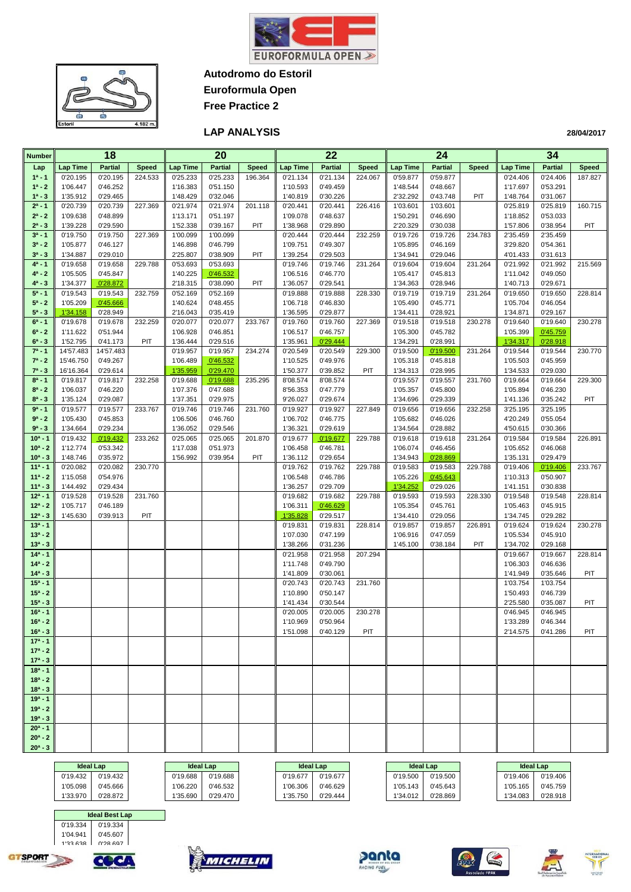

**Autodromo do Estoril**



**Euroformula Open Free Practice 2**

#### **LAP ANALYSIS**

| <b>Number</b>            |                      | 18                   |              |                      | 20                   |              |                      | 22                   |              |                      | 24                   |              |                      | 34                   |              |
|--------------------------|----------------------|----------------------|--------------|----------------------|----------------------|--------------|----------------------|----------------------|--------------|----------------------|----------------------|--------------|----------------------|----------------------|--------------|
| Lap                      | <b>Lap Time</b>      | <b>Partial</b>       | <b>Speed</b> | <b>Lap Time</b>      | <b>Partial</b>       | <b>Speed</b> | <b>Lap Time</b>      | <b>Partial</b>       | <b>Speed</b> | <b>Lap Time</b>      | <b>Partial</b>       | <b>Speed</b> | <b>Lap Time</b>      | <b>Partial</b>       | <b>Speed</b> |
| $1a - 1$                 | 0'20.195             | 0'20.195             | 224.533      | 0'25.233             | 0'25.233             | 196.364      | 0'21.134             | 0'21.134             | 224.067      | 0'59.877             | 0'59.877             |              | 0'24.406             | 0'24.406             | 187.827      |
| $1^a - 2$                | 1'06.447             | 0'46.252             |              | 1'16.383             | 0'51.150             |              | 1'10.593             | 0'49.459             |              | 1'48.544             | 0'48.667             |              | 1'17.697             | 0'53.291             |              |
| $1^a - 3$                | 1'35.912             | 0'29.465             |              | 1'48.429             | 0'32.046             |              | 1'40.819             | 0'30.226             |              | 2'32.292             | 0'43.748             | PIT          | 1'48.764             | 0'31.067             |              |
| $2^a - 1$                | 0'20.739             | 0'20.739             | 227.369      | 0'21.974             | 0'21.974             | 201.118      | 0'20.441             | 0'20.441             | 226.416      | 1'03.601             | 1'03.601             |              | 0'25.819             | 0'25.819             | 160.715      |
| $2^a - 2$                | 1'09.638             | 0'48.899             |              | 1'13.171             | 0'51.197             |              | 1'09.078             | 0'48.637             |              | 1'50.291             | 0'46.690             |              | 1'18.852             | 0'53.033             |              |
| $2^a - 3$                | 1'39.228             | 0'29.590             |              | 1'52.338             | 0'39.167             | PIT          | 1'38.968             | 0'29.890             |              | 2'20.329             | 0'30.038             |              | 1'57.806             | 0'38.954             | PIT          |
| $3^a - 1$                | 0'19.750             | 0'19.750             | 227.369      | 1'00.099             | 1'00.099             |              | 0'20.444             | 0'20.444             | 232.259      | 0'19.726             | 0'19.726             | 234.783      | 2'35.459             | 2'35.459             |              |
| $3^a - 2$                | 1'05.877             | 0'46.127             |              | 1'46.898             | 0'46.799             |              | 1'09.751             | 0'49.307             |              | 1'05.895             | 0'46.169             |              | 3'29.820             | 0'54.361             |              |
| $3^{a} - 3$              | 1'34.887             | 0'29.010             |              | 2'25.807             | 0'38.909             | PIT          | 1'39.254             | 0'29.503             |              | 1'34.941             | 0'29.046             |              | 4'01.433             | 0'31.613             |              |
| $4^a - 1$                | 0'19.658             | 0'19.658             | 229.788      | 0'53.693             | 0'53.693             |              | 0'19.746             | 0'19.746             | 231.264      | 0'19.604             | 0'19.604             | 231.264      | 0'21.992             | 0'21.992             | 215.569      |
| $4^a - 2$<br>$4^a - 3$   | 1'05.505<br>1'34.377 | 0'45.847<br>0'28.872 |              | 1'40.225<br>2'18.315 | 0'46.532<br>0'38.090 | PIT          | 1'06.516<br>1'36.057 | 0'46.770<br>0'29.541 |              | 1'05.417<br>1'34.363 | 0'45.813<br>0'28.946 |              | 1'11.042<br>1'40.713 | 0'49.050<br>0'29.671 |              |
| $5^a - 1$                | 0'19.543             | 0'19.543             | 232.759      | 0'52.169             | 0'52.169             |              | 0'19.888             | 0'19.888             | 228.330      | 0'19.719             | 0'19.719             | 231.264      | 0'19.650             | 0'19.650             | 228.814      |
| $5^a - 2$                | 1'05.209             | 0'45.666             |              | 1'40.624             | 0'48.455             |              | 1'06.718             | 0'46.830             |              | 1'05.490             | 0'45.771             |              | 1'05.704             | 0'46.054             |              |
| $5^a - 3$                | 1'34.158             | 0'28.949             |              | 2'16.043             | 0'35.419             |              | 1'36.595             | 0'29.877             |              | 1'34.411             | 0'28.921             |              | 1'34.871             | 0'29.167             |              |
| $6^a - 1$                | 0'19.678             | 0'19.678             | 232.259      | 0'20.077             | 0'20.077             | 233.767      | 0'19.760             | 0'19.760             | 227.369      | 0'19.518             | 0'19.518             | 230.278      | 0'19.640             | 0'19.640             | 230.278      |
| $6^a - 2$                | 1'11.622             | 0'51.944             |              | 1'06.928             | 0'46.851             |              | 1'06.517             | 0'46.757             |              | 1'05.300             | 0'45.782             |              | 1'05.399             | 0'45.759             |              |
| $6^{a} - 3$              | 1'52.795             | 0'41.173             | PIT          | 1'36.444             | 0'29.516             |              | 1'35.961             | 0'29.444             |              | 1'34.291             | 0'28.991             |              | 1'34.317             | 0'28.918             |              |
| $7^a - 1$                | 14'57.483            | 14'57.483            |              | 0'19.957             | 0'19.957             | 234.274      | 0'20.549             | 0'20.549             | 229.300      | 0'19.500             | 0'19.500             | 231.264      | 0'19.544             | 0'19.544             | 230.770      |
| $7^a - 2$                | 15'46.750            | 0'49.267             |              | 1'06.489             | 0'46.532             |              | 1'10.525             | 0'49.976             |              | 1'05.318             | 0'45.818             |              | 1'05.503             | 0'45.959             |              |
| $7^a - 3$                | 16'16.364            | 0'29.614             |              | 1'35.959             | 0'29.470             |              | 1'50.377             | 0'39.852             | PIT          | 1'34.313             | 0'28.995             |              | 1'34.533             | 0'29.030             |              |
| $8^a - 1$                | 0'19.817             | 0'19.817             | 232.258      | 0'19.688             | 0'19.688             | 235.295      | 8'08.574             | 8'08.574             |              | 0'19.557             | 0'19.557             | 231.760      | 0'19.664             | 0'19.664             | 229.300      |
| $8^a - 2$                | 1'06.037             | 0'46.220             |              | 1'07.376             | 0'47.688             |              | 8'56.353             | 0'47.779             |              | 1'05.357             | 0'45.800             |              | 1'05.894             | 0'46.230             |              |
| $8^a - 3$                | 1'35.124             | 0'29.087             |              | 1'37.351             | 0'29.975             |              | 9'26.027             | 0'29.674             |              | 1'34.696             | 0'29.339             |              | 1'41.136             | 0'35.242             | PIT          |
| $9a - 1$                 | 0'19.577             | 0'19.577             | 233.767      | 0'19.746             | 0'19.746             | 231.760      | 0'19.927             | 0'19.927             | 227.849      | 0'19.656             | 0'19.656             | 232.258      | 3'25.195             | 3'25.195             |              |
| $9^a - 2$                | 1'05.430             | 0'45.853             |              | 1'06.506             | 0'46.760             |              | 1'06.702             | 0'46.775             |              | 1'05.682             | 0'46.026             |              | 4'20.249             | 0'55.054             |              |
| $9^a - 3$<br>$10a - 1$   | 1'34.664<br>0'19.432 | 0'29.234<br>0'19.432 | 233.262      | 1'36.052             | 0'29.546<br>0'25.065 | 201.870      | 1'36.321<br>0'19.677 | 0'29.619<br>0'19.677 | 229.788      | 1'34.564<br>0'19.618 | 0'28.882<br>0'19.618 |              | 4'50.615<br>0'19.584 | 0'30.366<br>0'19.584 |              |
| $10^a - 2$               | 1'12.774             | 0'53.342             |              | 0'25.065<br>1'17.038 | 0'51.973             |              | 1'06.458             | 0'46.781             |              | 1'06.074             | 0'46.456             | 231.264      | 1'05.652             | 0'46.068             | 226.891      |
| $10^a - 3$               | 1'48.746             | 0'35.972             |              | 1'56.992             | 0'39.954             | PIT          | 1'36.112             | 0'29.654             |              | 1'34.943             | 0'28.869             |              | 1'35.131             | 0'29.479             |              |
| $11a - 1$                | 0'20.082             | 0'20.082             | 230.770      |                      |                      |              | 0'19.762             | 0'19.762             | 229.788      | 0'19.583             | 0'19.583             | 229.788      | 0'19.406             | 0'19.406             | 233.767      |
| $11a - 2$                | 1'15.058             | 0'54.976             |              |                      |                      |              | 1'06.548             | 0'46.786             |              | 1'05.226             | 0'45.643             |              | 1'10.313             | 0'50.907             |              |
| $11a - 3$                | 1'44.492             | 0'29.434             |              |                      |                      |              | 1'36.257             | 0'29.709             |              | 1'34.252             | 0'29.026             |              | 1'41.151             | 0'30.838             |              |
| $12a - 1$                | 0'19.528             | 0'19.528             | 231.760      |                      |                      |              | 0'19.682             | 0'19.682             | 229.788      | 0'19.593             | 0'19.593             | 228.330      | 0'19.548             | 0'19.548             | 228.814      |
| $12a - 2$                | 1'05.717             | 0'46.189             |              |                      |                      |              | 1'06.311             | 0'46.629             |              | 1'05.354             | 0'45.761             |              | 1'05.463             | 0'45.915             |              |
| $12^a - 3$               | 1'45.630             | 0'39.913             | PIT          |                      |                      |              | 1'35.828             | 0'29.517             |              | 1'34.410             | 0'29.056             |              | 1'34.745             | 0'29.282             |              |
| $13a - 1$                |                      |                      |              |                      |                      |              | 0'19.831             | 0'19.831             | 228.814      | 0'19.857             | 0'19.857             | 226.891      | 0'19.624             | 0'19.624             | 230.278      |
| $13a - 2$                |                      |                      |              |                      |                      |              | 1'07.030             | 0'47.199             |              | 1'06.916             | 0'47.059             |              | 1'05.534             | 0'45.910             |              |
| $13a - 3$                |                      |                      |              |                      |                      |              | 1'38.266             | 0'31.236             |              | 1'45.100             | 0'38.184             | PIT          | 1'34.702             | 0'29.168             |              |
| $14a - 1$                |                      |                      |              |                      |                      |              | 0'21.958             | 0'21.958             | 207.294      |                      |                      |              | 0'19.667             | 0'19.667             | 228.814      |
| $14a - 2$                |                      |                      |              |                      |                      |              | 1'11.748             | 0'49.790             |              |                      |                      |              | 1'06.303             | 0'46.636             |              |
| $14^a - 3$<br>$15a - 1$  |                      |                      |              |                      |                      |              | 1'41.809<br>0'20.743 | 0'30.061<br>0'20.743 | 231.760      |                      |                      |              | 1'41.949<br>1'03.754 | 0'35.646<br>1'03.754 | PIT          |
| $15a - 2$                |                      |                      |              |                      |                      |              | 1'10.890             | 0'50.147             |              |                      |                      |              | 1'50.493             | 0'46.739             |              |
| $15^a - 3$               |                      |                      |              |                      |                      |              | 1'41.434             | 0'30.544             |              |                      |                      |              | 2'25.580             | 0'35.087             | PIT          |
| $16a - 1$                |                      |                      |              |                      |                      |              | 0'20.005             | 0'20.005             | 230.278      |                      |                      |              | 0'46.945             | 0'46.945             |              |
| $16a - 2$                |                      |                      |              |                      |                      |              | 1'10.969             | 0'50.964             |              |                      |                      |              | 1'33.289             | 0'46.344             |              |
| $16^a - 3$               |                      |                      |              |                      |                      |              | 1'51.098             | 0'40.129             | PIT          |                      |                      |              | 2'14.575             | 0'41.286             | PIT          |
| $17a - 1$                |                      |                      |              |                      |                      |              |                      |                      |              |                      |                      |              |                      |                      |              |
| $17a - 2$                |                      |                      |              |                      |                      |              |                      |                      |              |                      |                      |              |                      |                      |              |
| $17^a - 3$               |                      |                      |              |                      |                      |              |                      |                      |              |                      |                      |              |                      |                      |              |
| $18a - 1$                |                      |                      |              |                      |                      |              |                      |                      |              |                      |                      |              |                      |                      |              |
| $18a - 2$                |                      |                      |              |                      |                      |              |                      |                      |              |                      |                      |              |                      |                      |              |
| $18a - 3$                |                      |                      |              |                      |                      |              |                      |                      |              |                      |                      |              |                      |                      |              |
| $19a - 1$                |                      |                      |              |                      |                      |              |                      |                      |              |                      |                      |              |                      |                      |              |
| $19a - 2$                |                      |                      |              |                      |                      |              |                      |                      |              |                      |                      |              |                      |                      |              |
| $19a - 3$                |                      |                      |              |                      |                      |              |                      |                      |              |                      |                      |              |                      |                      |              |
| $20^a - 1$<br>$20^a - 2$ |                      |                      |              |                      |                      |              |                      |                      |              |                      |                      |              |                      |                      |              |
| $20^a - 3$               |                      |                      |              |                      |                      |              |                      |                      |              |                      |                      |              |                      |                      |              |
|                          |                      |                      |              |                      |                      |              |                      |                      |              |                      |                      |              |                      |                      |              |

|          | <b>Ideal Lap</b> |          | <b>Ideal Lap</b> | <b>Ideal Lap</b> |          |          | <b>Ideal Lap</b> | <b>Ideal Lap</b> |          |
|----------|------------------|----------|------------------|------------------|----------|----------|------------------|------------------|----------|
| 0'19.432 | 0'19.432         | 0'19.688 | 0'19.688         | 0'19.677         | 0'19.677 | 0'19.500 | 0'19.500         | 0'19.406         | 0'19.406 |
| 1'05.098 | 0'45.666         | 1'06.220 | 0'46.532         | '06.306          | 0'46.629 | 1'05.143 | 0'45.643         | 1'05.165         | 0'45.759 |
| 1'33.970 | 0'28.872         | 1'35.690 | 0'29.470         | 1'35.750         | 0'29.444 | 1'34.012 | 0'28.869         | 1'34.083         | 0'28.918 |

 0'19.334 0'19.334 1'04.941 0'45.607 0'28.697

**Ideal Best Lap**

COCA

**Ideal Lap Ideal Lap Ideal Lap Ideal Lap Ideal Lap**

| ldeal L  |  |
|----------|--|
| 0'19.406 |  |
| 1'05.165 |  |
| 1'34.083 |  |













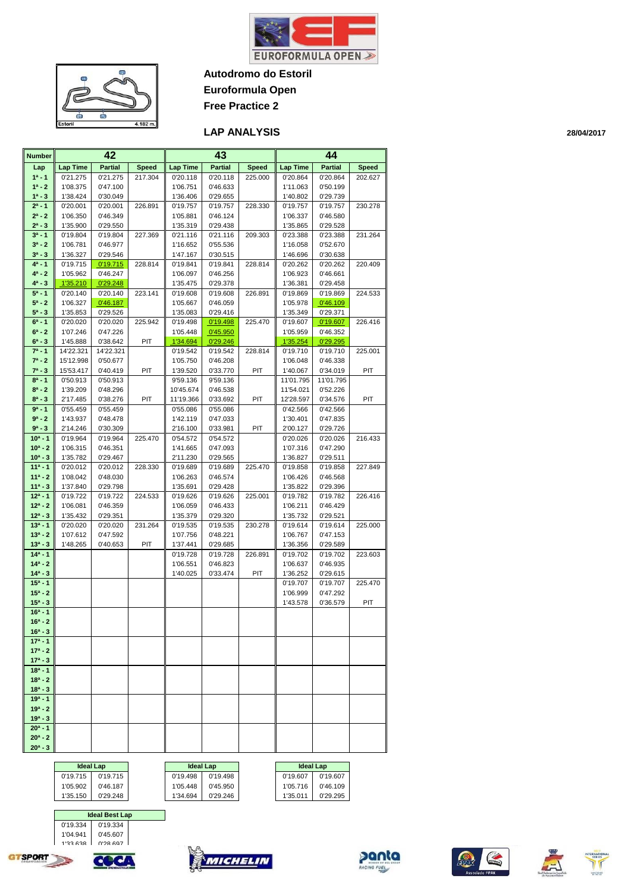

**Autodromo do Estoril Euroformula Open**

**Free Practice 2**



#### **LAP ANALYSIS**

| <b>Number</b>            |                        | 42                   |              |                      | 43                   |              |                       | 44                   |              |
|--------------------------|------------------------|----------------------|--------------|----------------------|----------------------|--------------|-----------------------|----------------------|--------------|
| Lap                      | <b>Lap Time</b>        | <b>Partial</b>       | <b>Speed</b> | <b>Lap Time</b>      | <b>Partial</b>       | <b>Speed</b> | <b>Lap Time</b>       | <b>Partial</b>       | <b>Speed</b> |
| $1^a - 1$                | 0'21.275               | 0'21.275             | 217.304      | 0'20.118             | 0'20.118             | 225.000      | 0'20.864              | 0'20.864             | 202.627      |
| $1^a - 2$                | 1'08.375               | 0'47.100             |              | 1'06.751             | 0'46.633             |              | 1'11.063              | 0'50.199             |              |
| $1^a - 3$                | 1'38.424               | 0'30.049             |              | 1'36.406             | 0'29.655             |              | 1'40.802              | 0'29.739             |              |
| $2^a - 1$                | 0'20.001               | 0'20.001             | 226.891      | 0'19.757             | 0'19.757             | 228.330      | 0'19.757              | 0'19.757             | 230.278      |
| $2^a - 2$                | 1'06.350               | 0'46.349             |              | 1'05.881             | 0'46.124             |              | 1'06.337              | 0'46.580             |              |
| $2^a - 3$                | 1'35.900               | 0'29.550             |              | 1'35.319             | 0'29.438             |              | 1'35.865              | 0'29.528             |              |
| $3^a - 1$                | 0'19.804               | 0'19.804             | 227.369      | 0'21.116             | 0'21.116             | 209.303      | 0'23.388              | 0'23.388             | 231.264      |
| $3^a - 2$                | 1'06.781               | 0'46.977             |              | 1'16.652             | 0'55.536             |              | 1'16.058              | 0'52.670             |              |
| $3^{a} - 3$              | 1'36.327               | 0'29.546             |              | 1'47.167             | 0'30.515             |              | 1'46.696              | 0'30.638             |              |
| $4^a - 1$                | 0'19.715               | 0'19.715             | 228.814      | 0'19.841             | 0'19.841             | 228.814      | 0'20.262              | 0'20.262             | 220.409      |
| $4^a - 2$                | 1'05.962               | 0'46.247             |              | 1'06.097             | 0'46.256             |              | 1'06.923              | 0'46.661             |              |
| $4^a - 3$                | 1'35.210               | 0'29.248             |              | 1'35.475             | 0'29.378             |              | 1'36.381              | 0'29.458             |              |
| $5^a - 1$                | 0'20.140               | 0'20.140             | 223.141      | 0'19.608             | 0'19.608             | 226.891      | 0'19.869              | 0'19.869             | 224.533      |
| $5^a - 2$                | 1'06.327               | 0'46.187             |              | 1'05.667             | 0'46.059             |              | 1'05.978              | 0'46.109             |              |
| $5^a - 3$                | 1'35.853               | 0'29.526             |              | 1'35.083             | 0'29.416             |              | 1'35.349              | 0'29.371             |              |
| $6^a - 1$                | 0'20.020               | 0'20.020             | 225.942      | 0'19.498             | 0'19.498             | 225.470      | 0'19.607              | 0'19.607             | 226.416      |
| $6^a - 2$                | 1'07.246               | 0'47.226             |              | 1'05.448             | 0'45.950             |              | 1'05.959              | 0'46.352             |              |
| $6^a - 3$<br>$7^a - 1$   | 1'45.888               | 0'38.642             | PIT          | 1'34.694             | 0'29.246             |              | 1'35.254              | 0'29.295             |              |
| $7^a - 2$                | 14'22.321              | 14'22.321            |              | 0'19.542<br>1'05.750 | 0'19.542             | 228.814      | 0'19.710              | 0'19.710             | 225.001      |
| $7^a - 3$                | 15'12.998<br>15'53.417 | 0'50.677             |              |                      | 0'46.208             |              | 1'06.048              | 0'46.338<br>0'34.019 |              |
| $8^a - 1$                | 0'50.913               | 0'40.419<br>0'50.913 | PIT          | 1'39.520<br>9'59.136 | 0'33.770<br>9'59.136 | PIT          | 1'40.067<br>11'01.795 | 11'01.795            | PIT          |
| $8^a - 2$                | 1'39.209               | 0'48.296             |              | 10'45.674            | 0'46.538             |              | 11'54.021             | 0'52.226             |              |
| $8^a - 3$                | 2'17.485               | 0'38.276             | PIT          | 11'19.366            | 0'33.692             | PIT          | 12'28.597             | 0'34.576             | PIT          |
| $9^a - 1$                | 0'55.459               | 0'55.459             |              | 0'55.086             | 0'55.086             |              | 0'42.566              | 0'42.566             |              |
| $9a - 2$                 | 1'43.937               | 0'48.478             |              | 1'42.119             | 0'47.033             |              | 1'30.401              | 0'47.835             |              |
| $9^a - 3$                | 2'14.246               | 0'30.309             |              | 2'16.100             | 0'33.981             | PIT          | 2'00.127              | 0'29.726             |              |
| $10a - 1$                | 0'19.964               | 0'19.964             | 225.470      | 0'54.572             | 0'54.572             |              | 0'20.026              | 0'20.026             | 216.433      |
| $10^a - 2$               | 1'06.315               | 0'46.351             |              | 1'41.665             | 0'47.093             |              | 1'07.316              | 0'47.290             |              |
| $10^a - 3$               | 1'35.782               | 0'29.467             |              | 2'11.230             | 0'29.565             |              | 1'36.827              | 0'29.511             |              |
| $11a - 1$                | 0'20.012               | 0'20.012             | 228.330      | 0'19.689             | 0'19.689             | 225.470      | 0'19.858              | 0'19.858             | 227.849      |
| $11a - 2$                | 1'08.042               | 0'48.030             |              | 1'06.263             | 0'46.574             |              | 1'06.426              | 0'46.568             |              |
| $11a - 3$                | 1'37.840               | 0'29.798             |              | 1'35.691             | 0'29.428             |              | 1'35.822              | 0'29.396             |              |
| $12a - 1$                | 0'19.722               | 0'19.722             | 224.533      | 0'19.626             | 0'19.626             | 225.001      | 0'19.782              | 0'19.782             | 226.416      |
| $12^a - 2$               | 1'06.081               | 0'46.359             |              | 1'06.059             | 0'46.433             |              | 1'06.211              | 0'46.429             |              |
| $12^a - 3$               | 1'35.432               | 0'29.351             |              | 1'35.379             | 0'29.320             |              | 1'35.732              | 0'29.521             |              |
| $13a - 1$                | 0'20.020               | 0'20.020             | 231.264      | 0'19.535             | 0'19.535             | 230.278      | 0'19.614              | 0'19.614             | 225.000      |
| $13a - 2$                | 1'07.612               | 0'47.592             |              | 1'07.756             | 0'48.221             |              | 1'06.767              | 0'47.153             |              |
| $13^a - 3$               | 1'48.265               | 0'40.653             | PIT          | 1'37.441             | 0'29.685             |              | 1'36.356              | 0'29.589             |              |
| $14a - 1$                |                        |                      |              | 0'19.728             | 0'19.728             | 226.891      | 0'19.702              | 0'19.702             | 223.603      |
| $14a - 2$                |                        |                      |              | 1'06.551             | 0'46.823             |              | 1'06.637              | 0'46.935             |              |
| $14^a - 3$               |                        |                      |              | 1'40.025             | 0'33.474             | PIT          | 1'36.252              | 0'29.615             |              |
| $15a - 1$                |                        |                      |              |                      |                      |              | 0'19.707              | 0'19.707             | 225.470      |
| $15a - 2$                |                        |                      |              |                      |                      |              | 1'06.999              | 0'47.292             |              |
| $15^a - 3$               |                        |                      |              |                      |                      |              | 1'43.578              | 0'36.579             | PIT          |
| $16a - 1$                |                        |                      |              |                      |                      |              |                       |                      |              |
| $16^a - 2$<br>$16^a - 3$ |                        |                      |              |                      |                      |              |                       |                      |              |
| $17a - 1$                |                        |                      |              |                      |                      |              |                       |                      |              |
| $17^a - 2$               |                        |                      |              |                      |                      |              |                       |                      |              |
| $17^a - 3$               |                        |                      |              |                      |                      |              |                       |                      |              |
| $18a - 1$                |                        |                      |              |                      |                      |              |                       |                      |              |
| $18a - 2$                |                        |                      |              |                      |                      |              |                       |                      |              |
| $18a - 3$                |                        |                      |              |                      |                      |              |                       |                      |              |
| $19a - 1$                |                        |                      |              |                      |                      |              |                       |                      |              |
| $19a - 2$                |                        |                      |              |                      |                      |              |                       |                      |              |
| $19a - 3$                |                        |                      |              |                      |                      |              |                       |                      |              |
| $20a - 1$                |                        |                      |              |                      |                      |              |                       |                      |              |
| $20^a - 2$               |                        |                      |              |                      |                      |              |                       |                      |              |
| $20^a - 3$               |                        |                      |              |                      |                      |              |                       |                      |              |

**28/04/2017**





0'19.334 0'19.334

0'28.697

**Ideal Best Lap**



0'19.715 0'19.715 0'19.498 0'19.498 0'19.498 0'19.607 0'19.607 0'19.607 1'05.902 0'46.187 1'05.448 0'45.950 1'05.716 0'46.109 1'35.150 0'29.248 1'34.694 0'29.246 1'35.011 0'29.295

**Ideal Lap Ideal Lap Ideal Lap Ideal Lap** 







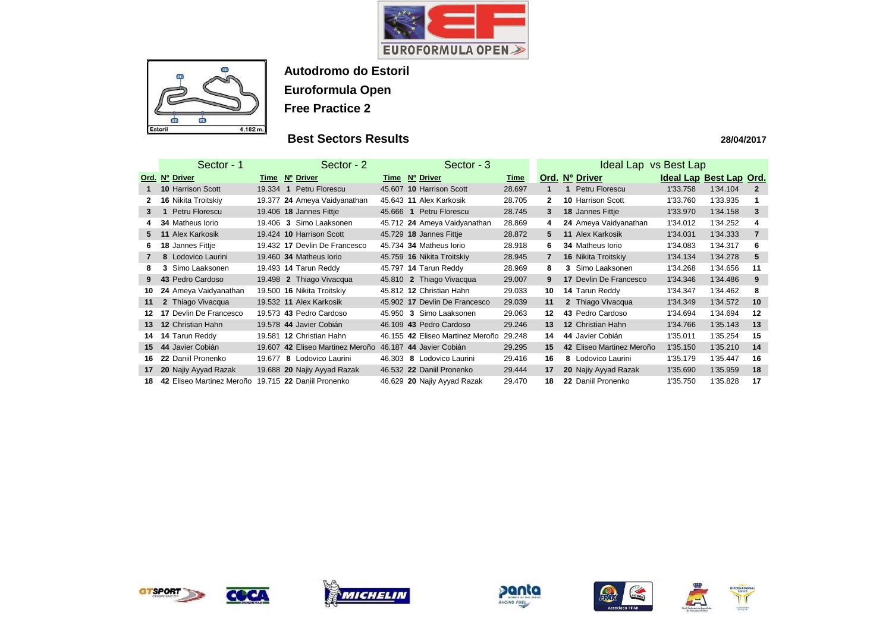



# **Best Sectors Results**

|                 | Sector - 1                |          | Sector - 2                       |        | Sector - 3                       |             |                | Ideal Lap vs Best Lap     |                         |          |                |
|-----------------|---------------------------|----------|----------------------------------|--------|----------------------------------|-------------|----------------|---------------------------|-------------------------|----------|----------------|
|                 | Ord. Nº Driver            |          | Time Nº Driver                   |        | Time Nº Driver                   | <u>Time</u> |                | Ord. Nº Driver            | Ideal Lap Best Lap Ord. |          |                |
|                 | <b>10 Harrison Scott</b>  | 19.334 1 | Petru Florescu                   |        | 45.607 10 Harrison Scott         | 28.697      |                | Petru Florescu            | 1'33.758                | 1'34.104 | $\mathbf{2}$   |
|                 | 16 Nikita Troitskiy       |          | 19.377 24 Ameya Vaidyanathan     |        | 45.643 11 Alex Karkosik          | 28.705      | $\mathbf{2}$   | <b>10 Harrison Scott</b>  | 1'33.760                | 1'33.935 |                |
| 3               | Petru Florescu            |          | 19.406 18 Jannes Fittje          |        | 45.666 1 Petru Florescu          | 28.745      | $3^{\circ}$    | 18 Jannes Fittje          | 1'33.970                | 1'34.158 | 3              |
|                 | 34 Matheus Iorio          |          | 19.406 3 Simo Laaksonen          |        | 45.712 24 Ameya Vaidyanathan     | 28.869      | 4              | 24 Ameya Vaidyanathan     | 1'34.012                | 1'34.252 | 4              |
| 5.              | 11 Alex Karkosik          |          | 19.424 10 Harrison Scott         |        | 45.729 18 Jannes Fittje          | 28.872      | 5              | 11 Alex Karkosik          | 1'34.031                | 1'34.333 | $\overline{7}$ |
| 6.              | 18 Jannes Fittje          |          | 19.432 17 Devlin De Francesco    |        | 45.734 34 Matheus Iorio          | 28.918      | 6              | 34 Matheus Iorio          | 1'34.083                | 1'34.317 | 6              |
|                 | 8 Lodovico Laurini        |          | 19.460 34 Matheus Iorio          |        | 45.759 16 Nikita Troitskiy       | 28.945      | $\overline{7}$ | 16 Nikita Troitskiy       | 1'34.134                | 1'34.278 | 5              |
| 8               | Simo Laaksonen<br>3       |          | 19.493 14 Tarun Reddy            |        | 45.797 14 Tarun Reddy            | 28.969      | 8              | 3 Simo Laaksonen          | 1'34.268                | 1'34.656 | 11             |
| 9               | 43 Pedro Cardoso          |          | 19.498 2 Thiago Vivacqua         |        | 45.810 2 Thiago Vivacqua         | 29.007      | 9              | 17 Devlin De Francesco    | 1'34.346                | 1'34.486 | 9              |
| 10              | 24 Ameya Vaidyanathan     |          | 19.500 16 Nikita Troitskiy       |        | 45.812 12 Christian Hahn         | 29.033      | 10             | 14 Tarun Reddy            | 1'34.347                | 1'34.462 | 8              |
| 11              | 2 Thiago Vivacqua         |          | 19.532 11 Alex Karkosik          |        | 45.902 17 Devlin De Francesco    | 29.039      | 11             | 2 Thiago Vivacqua         | 1'34.349                | 1'34.572 | 10             |
|                 | 17 Devlin De Francesco    |          | 19.573 43 Pedro Cardoso          |        | 45.950 3 Simo Laaksonen          | 29.063      | 12             | 43 Pedro Cardoso          | 1'34.694                | 1'34.694 | 12             |
| 13 <sup>°</sup> | 12 Christian Hahn         |          | 19.578 44 Javier Cobián          |        | 46.109 43 Pedro Cardoso          | 29.246      | 13             | 12 Christian Hahn         | 1'34.766                | 1'35.143 | 13             |
| 14              | 14 Tarun Reddy            |          | 19.581 12 Christian Hahn         |        | 46.155 42 Eliseo Martinez Meroño | 29.248      | 14             | 44 Javier Cobián          | 1'35.011                | 1'35.254 | 15             |
| 15              | 44 Javier Cobián          |          | 19.607 42 Eliseo Martinez Meroño | 46.187 | 44 Javier Cobián                 | 29.295      | 15             | 42 Eliseo Martinez Meroño | 1'35.150                | 1'35.210 | 14             |
| 16.             | 22 Daniil Pronenko        | 19.677   | 8 Lodovico Laurini               | 46.303 | 8 Lodovico Laurini               | 29.416      | 16             | 8 Lodovico Laurini        | 1'35.179                | 1'35.447 | 16             |
| 17              | 20 Najiy Ayyad Razak      |          | 19.688 20 Najiy Ayyad Razak      |        | 46.532 22 Daniil Pronenko        | 29.444      | 17             | 20 Najiy Ayyad Razak      | 1'35.690                | 1'35.959 | 18             |
| 18              | 42 Eliseo Martinez Meroño |          | 19.715 22 Daniil Pronenko        |        | 46.629 20 Najiy Ayyad Razak      | 29.470      | 18             | 22 Daniil Pronenko        | 1'35.750                | 1'35.828 | 17             |













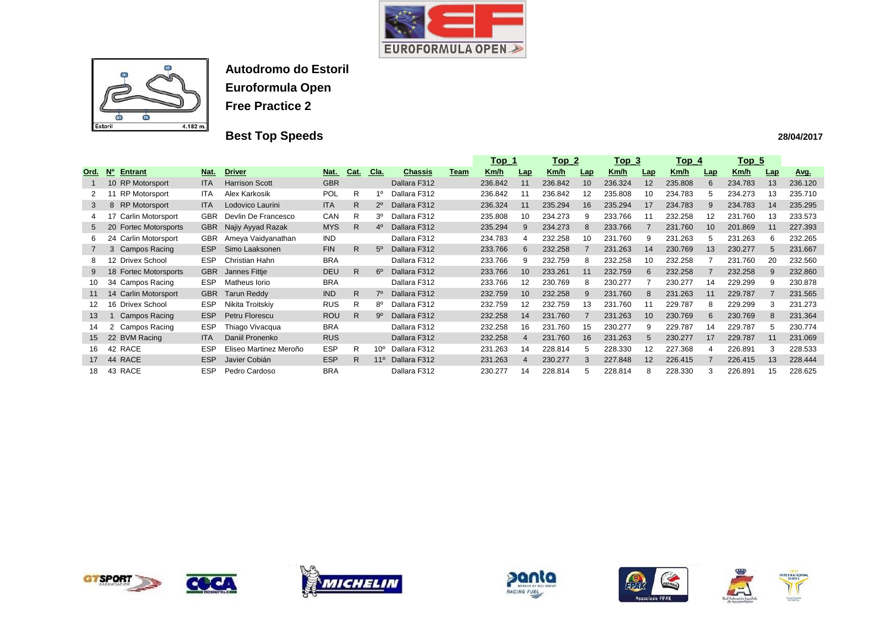



# **Best Top Speeds**

|                |                                                         |            |                        |             |              |              |                |      | <u> Top_1</u> |                 | <u> Top_2</u> |            | <u> Top_3</u> |     | $Top_4$     |             | <u>Top 5</u> |     |         |
|----------------|---------------------------------------------------------|------------|------------------------|-------------|--------------|--------------|----------------|------|---------------|-----------------|---------------|------------|---------------|-----|-------------|-------------|--------------|-----|---------|
| Ord.           | <b>Entrant</b><br>$\underline{\mathsf{N}}^{\mathsf{o}}$ | Nat.       | <b>Driver</b>          | <u>Nat.</u> | Cat.         | C Ia.        | <b>Chassis</b> | Team | <u>Km/h</u>   | <b>Lap</b>      | <u>Km/h</u>   | <b>Lap</b> | <u>Km/h</u>   | Lap | <u>Km/h</u> | Lap         | <u>Km/h</u>  | Lap | Avg.    |
|                | 10 RP Motorsport                                        | <b>ITA</b> | <b>Harrison Scott</b>  | <b>GBR</b>  |              |              | Dallara F312   |      | 236.842       | 11              | 236.842       | 10         | 236.324       | 12  | 235.808     | 6           | 234.783      | 13  | 236.120 |
| 2              | <b>RP Motorsport</b>                                    | ITA.       | Alex Karkosik          | <b>POL</b>  | R.           | 10           | Dallara F312   |      | 236.842       |                 | 236.842       | 12         | 235.808       | 10  | 234.783     | $\mathbf b$ | 234.273      | 13  | 235.710 |
| 3              | <b>RP Motorsport</b><br>8                               | <b>ITA</b> | Lodovico Laurini       | <b>ITA</b>  | R.           | 2º           | Dallara F312   |      | 236.324       | 11              | 235.294       | 16         | 235.294       | 17  | 234.783     | 9           | 234.783      | 14  | 235.295 |
| 4              | Carlin Motorsport                                       | <b>GBR</b> | Devlin De Francesco    | <b>CAN</b>  | R            | 30           | Dallara F312   |      | 235.808       | 10              | 234.273       |            | 233.766       |     | 232.258     | 12          | 231.760      | 13  | 233.573 |
| 5              | <b>Fortec Motorsports</b><br>20                         | <b>GBR</b> | Najiy Ayyad Razak      | <b>MYS</b>  | R.           | 40           | Dallara F312   |      | 235.294       | 9               | 234.273       | 8          | 233.766       |     | 231.760     | 10          | 201.869      | 11  | 227.393 |
| 6              | Carlin Motorsport<br>24                                 | <b>GBR</b> | Ameya Vaidyanathan     | <b>IND</b>  |              |              | Dallara F312   |      | 234.783       |                 | 232.258       | 10         | 231.760       | 9   | 231.263     | 5           | 231.263      | 6   | 232.265 |
| $\overline{7}$ | <b>Campos Racing</b><br>3                               | ESP        | Simo Laaksonen         | <b>FIN</b>  | R.           | 50           | Dallara F312   |      | 233.766       | -6              | 232.258       |            | 231.263       | 14  | 230.769     | 13          | 230.277      | 5   | 231.667 |
| 8              | <b>Drivex School</b><br>12                              | <b>ESP</b> | Christian Hahn         | <b>BRA</b>  |              |              | Dallara F312   |      | 233.766       | -9              | 232.759       | 8          | 232.258       | 10  | 232.258     |             | 231.760      | 20  | 232.560 |
| 9              | <b>Fortec Motorsports</b><br>18                         | <b>GBR</b> | Jannes Fittje          | <b>DEU</b>  | R.           | $6^{\circ}$  | Dallara F312   |      | 233.766       | 10              | 233.261       | 11         | 232.759       | 6   | 232.258     |             | 232.258      | 9   | 232.860 |
| 10             | 34 Campos Racing                                        | <b>ESP</b> | Matheus Iorio          | <b>BRA</b>  |              |              | Dallara F312   |      | 233.766       | 12              | 230.769       | 8          | 230.277       |     | 230.277     | 14          | 229.299      | 9   | 230.878 |
| 11             | <b>Carlin Motorsport</b><br>14                          | <b>GBR</b> | <b>Tarun Reddy</b>     | <b>IND</b>  | $\mathsf{R}$ | 7º           | Dallara F312   |      | 232.759       | 10 <sup>°</sup> | 232.258       |            | 231.760       | 8   | 231.263     | 11          | 229.787      |     | 231.565 |
| 12             | 16 Drivex School                                        | <b>ESP</b> | Nikita Troitskiy       | <b>RUS</b>  | R            | 8º           | Dallara F312   |      | 232.759       | 12              | 232.759       | 13         | 231.760       | 11  | 229.787     | 8           | 229.299      | 3   | 231.273 |
| 13             | <b>Campos Racing</b>                                    | <b>ESP</b> | Petru Florescu         | <b>ROU</b>  | R.           | .9º          | Dallara F312   |      | 232.258       | 14              | 231.760       |            | 231.263       | 10  | 230.769     | 6           | 230.769      | 8   | 231.364 |
| 14             | Campos Racing<br>2                                      | <b>ESP</b> | Thiago Vivacqua        | <b>BRA</b>  |              |              | Dallara F312   |      | 232.258       | 16              | 231.760       | 15         | 230.277       | 9   | 229.787     | 14          | 229.787      | 5   | 230.774 |
| 15             | 22 BVM Racing                                           | <b>ITA</b> | Daniil Pronenko        | <b>RUS</b>  |              |              | Dallara F312   |      | 232.258       |                 | 231.760       | 16         | 231.263       | 5   | 230.277     | 17          | 229.787      | 11  | 231.069 |
| 16             | 42 RACE                                                 | <b>ESP</b> | Eliseo Martinez Meroño | <b>ESP</b>  | R.           | $10^{\circ}$ | Dallara F312   |      | 231.263       | 14              | 228.814       |            | 228.330       | 12  | 227.368     |             | 226.891      | 3   | 228.533 |
| 17             | <b>RACE</b><br>-44                                      | <b>ESP</b> | Javier Cobián          | <b>ESP</b>  | R            | $11^{\circ}$ | Dallara F312   |      | 231.263       |                 | 230.277       |            | 227.848       | 12  | 226.415     |             | 226.415      | 13  | 228.444 |
| 18.            | 43 RACE                                                 | <b>ESP</b> | Pedro Cardoso          | <b>BRA</b>  |              |              | Dallara F312   |      | 230.277       | 14              | 228.814       |            | 228.814       | 8   | 228.330     |             | 226.891      | 15  | 228.625 |













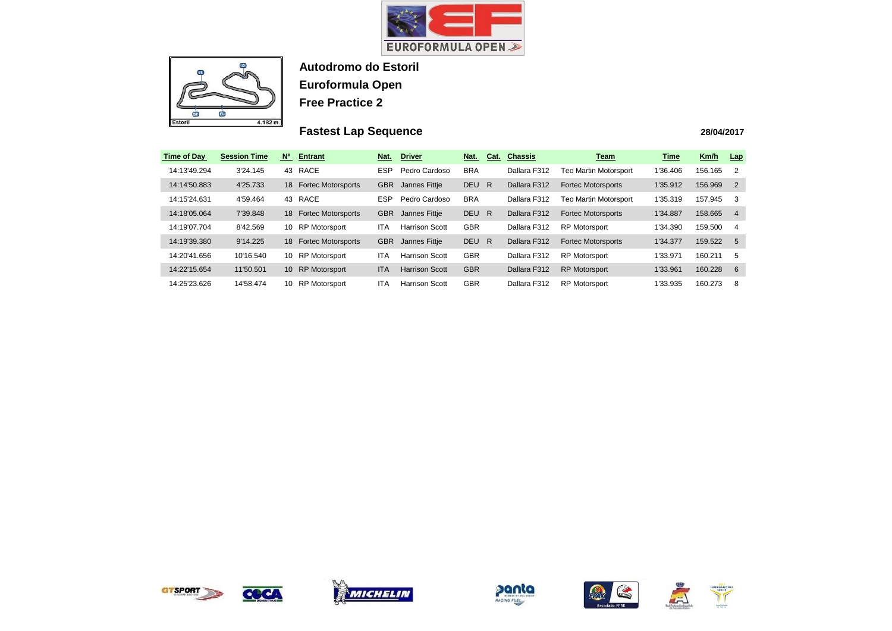



# **Fastest Lap Sequence**

| <b>Time of Day</b> | <b>Session Time</b> | <b>No</b>       | <b>Entrant</b>            | Nat.       | <b>Driver</b>         | Nat.       | Cat. | <b>Chassis</b> | <b>Team</b>                  | Time     | Km/h    | Lap            |
|--------------------|---------------------|-----------------|---------------------------|------------|-----------------------|------------|------|----------------|------------------------------|----------|---------|----------------|
| 14:13'49.294       | 3'24.145            | 43              | <b>RACE</b>               | <b>ESP</b> | Pedro Cardoso         | <b>BRA</b> |      | Dallara F312   | <b>Teo Martin Motorsport</b> | 1'36.406 | 156.165 | $\overline{2}$ |
| 14:14'50.883       | 4'25.733            | 18              | <b>Fortec Motorsports</b> | <b>GBR</b> | Jannes Fittje         | DEU R      |      | Dallara F312   | <b>Fortec Motorsports</b>    | 1'35.912 | 156.969 | $\overline{2}$ |
| 14:15'24.631       | 4'59.464            | 43              | RACE                      | <b>ESP</b> | Pedro Cardoso         | <b>BRA</b> |      | Dallara F312   | <b>Teo Martin Motorsport</b> | 1'35.319 | 157.945 | -3             |
| 14:18'05.064       | 7'39.848            | 18              | <b>Fortec Motorsports</b> | <b>GBR</b> | Jannes Fittje         | DEU R      |      | Dallara F312   | <b>Fortec Motorsports</b>    | 1'34.887 | 158.665 | -4             |
| 14:19'07.704       | 8'42.569            | 10              | <b>RP Motorsport</b>      | ITA        | <b>Harrison Scott</b> | <b>GBR</b> |      | Dallara F312   | <b>RP Motorsport</b>         | 1'34.390 | 159.500 | -4             |
| 14:19'39.380       | 9'14.225            | 18              | <b>Fortec Motorsports</b> | <b>GBR</b> | Jannes Fittje         | DEU R      |      | Dallara F312   | <b>Fortec Motorsports</b>    | 1'34.377 | 159.522 | - 5            |
| 14:20'41.656       | 10'16.540           | 10              | <b>RP Motorsport</b>      | ITA        | <b>Harrison Scott</b> | <b>GBR</b> |      | Dallara F312   | <b>RP Motorsport</b>         | 1'33.971 | 160.211 | -5             |
| 14:22'15.654       | 11'50.501           | 10 <sup>°</sup> | <b>RP</b> Motorsport      | <b>ITA</b> | <b>Harrison Scott</b> | <b>GBR</b> |      | Dallara F312   | <b>RP Motorsport</b>         | 1'33.961 | 160.228 | - 6            |
| 14:25'23.626       | 14'58.474           | 10              | <b>RP Motorsport</b>      | ITA        | <b>Harrison Scott</b> | <b>GBR</b> |      | Dallara F312   | <b>RP Motorsport</b>         | 1'33.935 | 160.273 | -8             |



COCA









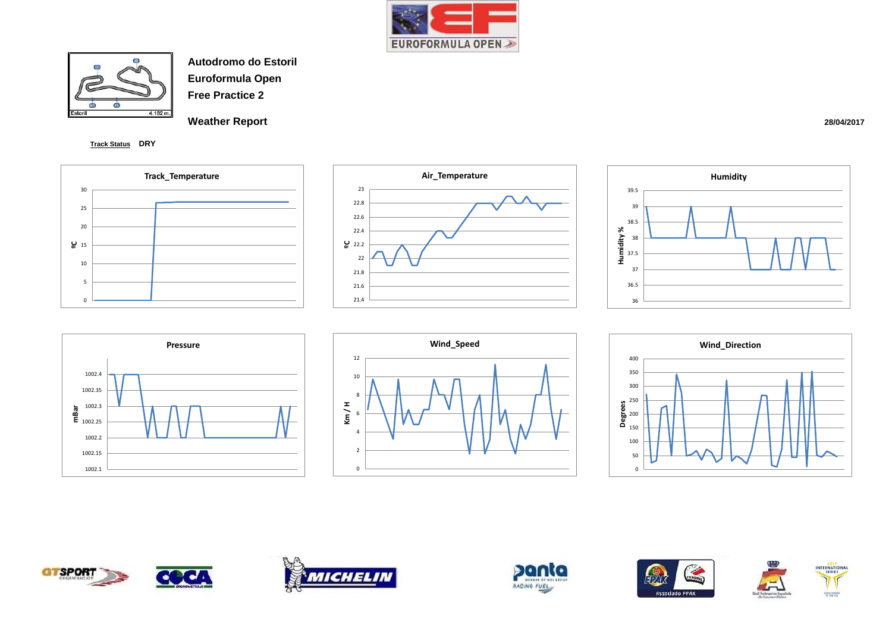



**Weather Report** 

**Track Status DRY**